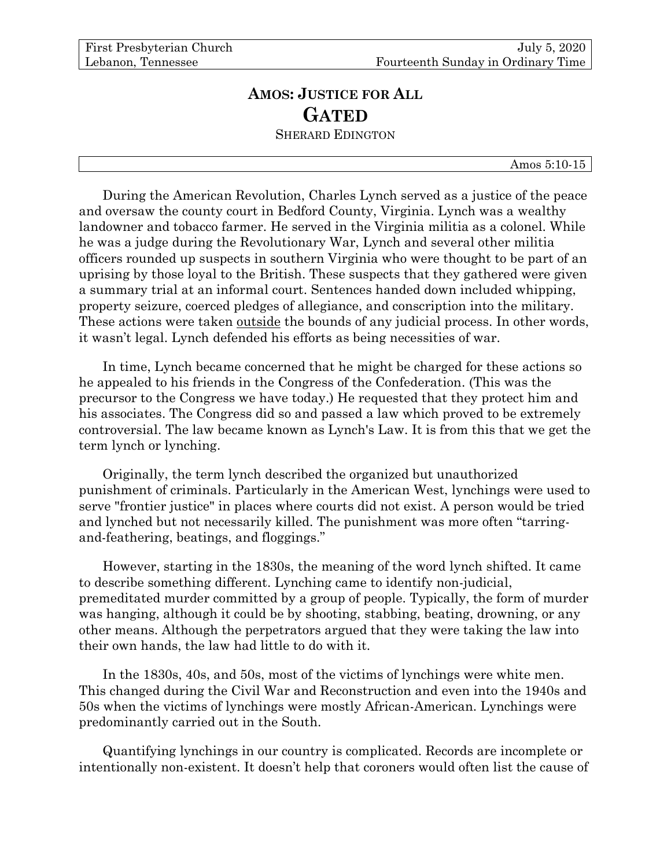# **AMOS: JUSTICE FOR ALL GATED** SHERARD EDINGTON

#### Amos 5:10-15

During the American Revolution, Charles Lynch served as a justice of the peace and oversaw the county court in Bedford County, Virginia. Lynch was a wealthy landowner and tobacco farmer. He served in the Virginia militia as a colonel. While he was a judge during the Revolutionary War, Lynch and several other militia officers rounded up suspects in southern Virginia who were thought to be part of an uprising by those loyal to the British. These suspects that they gathered were given a summary trial at an informal court. Sentences handed down included whipping, property seizure, coerced pledges of allegiance, and conscription into the military. These actions were taken outside the bounds of any judicial process. In other words, it wasn't legal. Lynch defended his efforts as being necessities of war.

In time, Lynch became concerned that he might be charged for these actions so he appealed to his friends in the Congress of the Confederation. (This was the precursor to the Congress we have today.) He requested that they protect him and his associates. The Congress did so and passed a law which proved to be extremely controversial. The law became known as Lynch's Law. It is from this that we get the term lynch or lynching.

Originally, the term lynch described the organized but unauthorized punishment of criminals. Particularly in the American West, lynchings were used to serve "frontier justice" in places where courts did not exist. A person would be tried and lynched but not necessarily killed. The punishment was more often "tarringand-feathering, beatings, and floggings."

However, starting in the 1830s, the meaning of the word lynch shifted. It came to describe something different. Lynching came to identify non-judicial, premeditated murder committed by a group of people. Typically, the form of murder was hanging, although it could be by shooting, stabbing, beating, drowning, or any other means. Although the perpetrators argued that they were taking the law into their own hands, the law had little to do with it.

In the 1830s, 40s, and 50s, most of the victims of lynchings were white men. This changed during the Civil War and Reconstruction and even into the 1940s and 50s when the victims of lynchings were mostly African-American. Lynchings were predominantly carried out in the South.

Quantifying lynchings in our country is complicated. Records are incomplete or intentionally non-existent. It doesn't help that coroners would often list the cause of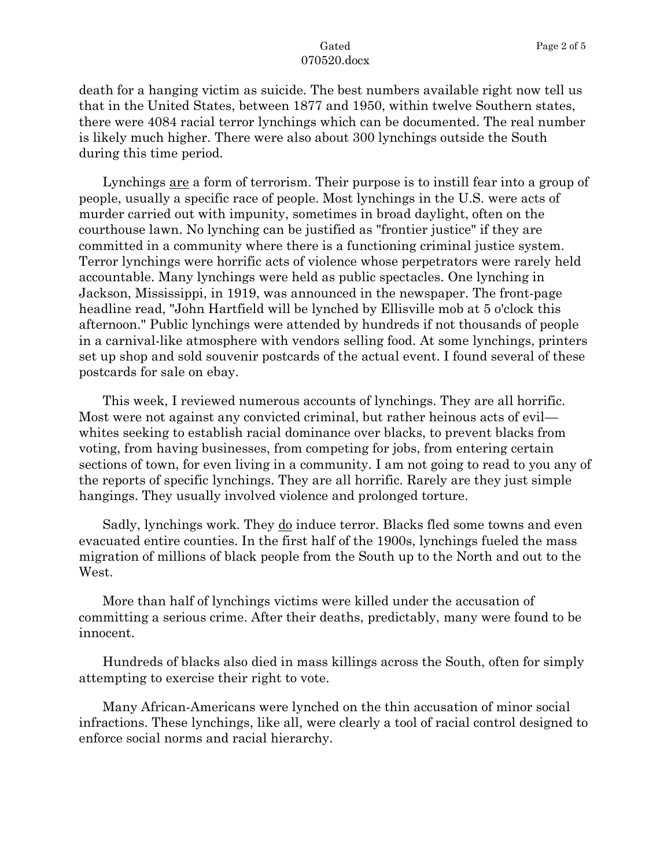death for a hanging victim as suicide. The best numbers available right now tell us that in the United States, between 1877 and 1950, within twelve Southern states, there were 4084 racial terror lynchings which can be documented. The real number is likely much higher. There were also about 300 lynchings outside the South during this time period.

Lynchings are a form of terrorism. Their purpose is to instill fear into a group of people, usually a specific race of people. Most lynchings in the U.S. were acts of murder carried out with impunity, sometimes in broad daylight, often on the courthouse lawn. No lynching can be justified as "frontier justice" if they are committed in a community where there is a functioning criminal justice system. Terror lynchings were horrific acts of violence whose perpetrators were rarely held accountable. Many lynchings were held as public spectacles. One lynching in Jackson, Mississippi, in 1919, was announced in the newspaper. The front-page headline read, "John Hartfield will be lynched by Ellisville mob at 5 o'clock this afternoon." Public lynchings were attended by hundreds if not thousands of people in a carnival-like atmosphere with vendors selling food. At some lynchings, printers set up shop and sold souvenir postcards of the actual event. I found several of these postcards for sale on ebay.

This week, I reviewed numerous accounts of lynchings. They are all horrific. Most were not against any convicted criminal, but rather heinous acts of evil whites seeking to establish racial dominance over blacks, to prevent blacks from voting, from having businesses, from competing for jobs, from entering certain sections of town, for even living in a community. I am not going to read to you any of the reports of specific lynchings. They are all horrific. Rarely are they just simple hangings. They usually involved violence and prolonged torture.

Sadly, lynchings work. They do induce terror. Blacks fled some towns and even evacuated entire counties. In the first half of the 1900s, lynchings fueled the mass migration of millions of black people from the South up to the North and out to the West.

More than half of lynchings victims were killed under the accusation of committing a serious crime. After their deaths, predictably, many were found to be innocent.

Hundreds of blacks also died in mass killings across the South, often for simply attempting to exercise their right to vote.

Many African-Americans were lynched on the thin accusation of minor social infractions. These lynchings, like all, were clearly a tool of racial control designed to enforce social norms and racial hierarchy.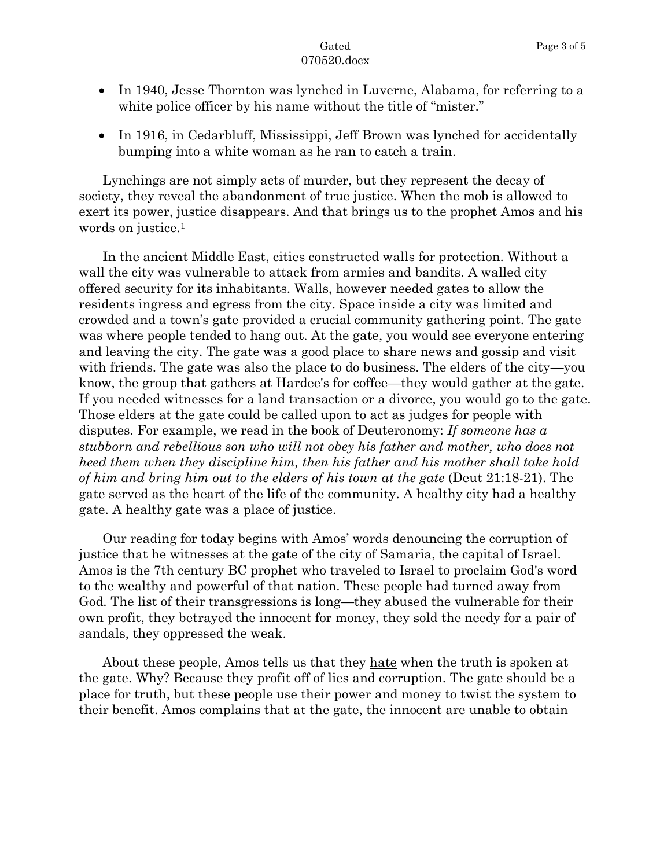- In 1940, Jesse Thornton was lynched in Luverne, Alabama, for referring to a white police officer by his name without the title of "mister."
- In 1916, in Cedarbluff, Mississippi, Jeff Brown was lynched for accidentally bumping into a white woman as he ran to catch a train.

Lynchings are not simply acts of murder, but they represent the decay of society, they reveal the abandonment of true justice. When the mob is allowed to exert its power, justice disappears. And that brings us to the prophet Amos and his words on justice.<sup>1</sup>

In the ancient Middle East, cities constructed walls for protection. Without a wall the city was vulnerable to attack from armies and bandits. A walled city offered security for its inhabitants. Walls, however needed gates to allow the residents ingress and egress from the city. Space inside a city was limited and crowded and a town's gate provided a crucial community gathering point. The gate was where people tended to hang out. At the gate, you would see everyone entering and leaving the city. The gate was a good place to share news and gossip and visit with friends. The gate was also the place to do business. The elders of the city—you know, the group that gathers at Hardee's for coffee—they would gather at the gate. If you needed witnesses for a land transaction or a divorce, you would go to the gate. Those elders at the gate could be called upon to act as judges for people with disputes. For example, we read in the book of Deuteronomy: *If someone has a stubborn and rebellious son who will not obey his father and mother, who does not heed them when they discipline him, then his father and his mother shall take hold of him and bring him out to the elders of his town at the gate* (Deut 21:18-21). The gate served as the heart of the life of the community. A healthy city had a healthy gate. A healthy gate was a place of justice.

Our reading for today begins with Amos' words denouncing the corruption of justice that he witnesses at the gate of the city of Samaria, the capital of Israel. Amos is the 7th century BC prophet who traveled to Israel to proclaim God's word to the wealthy and powerful of that nation. These people had turned away from God. The list of their transgressions is long—they abused the vulnerable for their own profit, they betrayed the innocent for money, they sold the needy for a pair of sandals, they oppressed the weak.

About these people, Amos tells us that they hate when the truth is spoken at the gate. Why? Because they profit off of lies and corruption. The gate should be a place for truth, but these people use their power and money to twist the system to their benefit. Amos complains that at the gate, the innocent are unable to obtain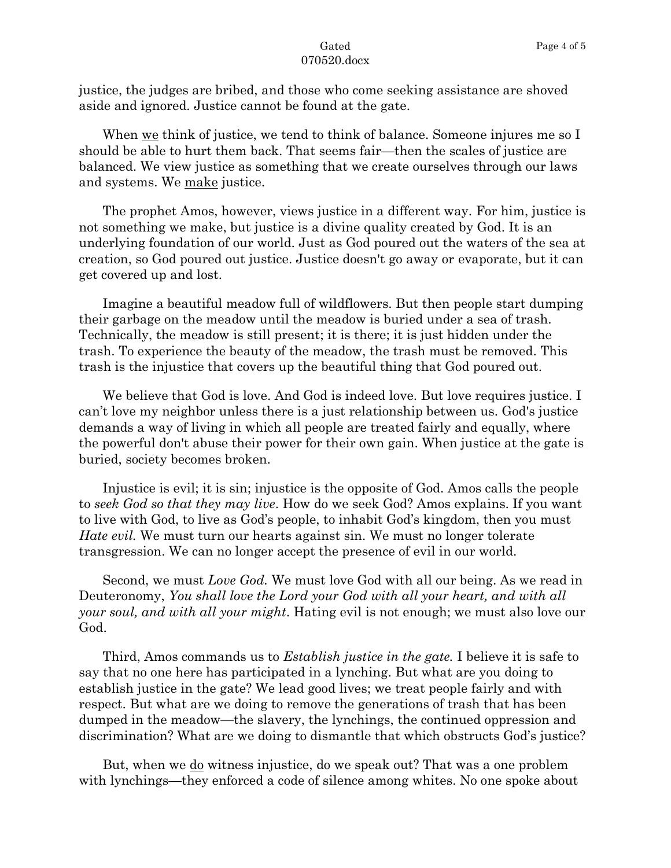justice, the judges are bribed, and those who come seeking assistance are shoved aside and ignored. Justice cannot be found at the gate.

When we think of justice, we tend to think of balance. Someone injures me so I should be able to hurt them back. That seems fair—then the scales of justice are balanced. We view justice as something that we create ourselves through our laws and systems. We make justice.

The prophet Amos, however, views justice in a different way. For him, justice is not something we make, but justice is a divine quality created by God. It is an underlying foundation of our world. Just as God poured out the waters of the sea at creation, so God poured out justice. Justice doesn't go away or evaporate, but it can get covered up and lost.

Imagine a beautiful meadow full of wildflowers. But then people start dumping their garbage on the meadow until the meadow is buried under a sea of trash. Technically, the meadow is still present; it is there; it is just hidden under the trash. To experience the beauty of the meadow, the trash must be removed. This trash is the injustice that covers up the beautiful thing that God poured out.

We believe that God is love. And God is indeed love. But love requires justice. I can't love my neighbor unless there is a just relationship between us. God's justice demands a way of living in which all people are treated fairly and equally, where the powerful don't abuse their power for their own gain. When justice at the gate is buried, society becomes broken.

Injustice is evil; it is sin; injustice is the opposite of God. Amos calls the people to *seek God so that they may live*. How do we seek God? Amos explains. If you want to live with God, to live as God's people, to inhabit God's kingdom, then you must *Hate evil.* We must turn our hearts against sin. We must no longer tolerate transgression. We can no longer accept the presence of evil in our world.

Second, we must *Love God.* We must love God with all our being. As we read in Deuteronomy, *You shall love the Lord your God with all your heart, and with all your soul, and with all your might*. Hating evil is not enough; we must also love our God.

Third, Amos commands us to *Establish justice in the gate.* I believe it is safe to say that no one here has participated in a lynching. But what are you doing to establish justice in the gate? We lead good lives; we treat people fairly and with respect. But what are we doing to remove the generations of trash that has been dumped in the meadow—the slavery, the lynchings, the continued oppression and discrimination? What are we doing to dismantle that which obstructs God's justice?

But, when we <u>do</u> witness injustice, do we speak out? That was a one problem with lynchings—they enforced a code of silence among whites. No one spoke about